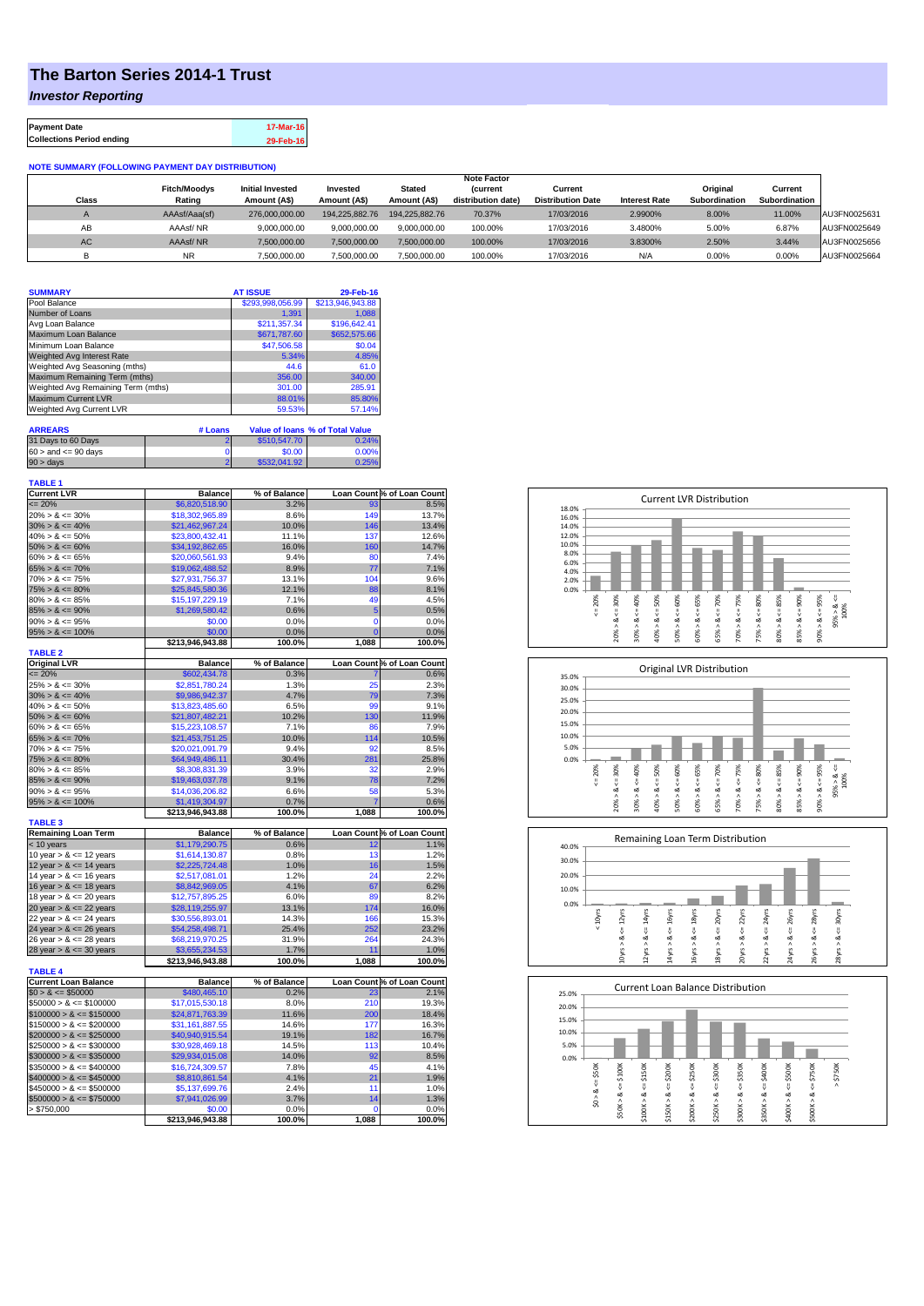## **The Barton Series 2014-1 Trust**

*Investor Reporting*

| <b>Payment Date</b>              | 17-Mar-16 |
|----------------------------------|-----------|
| <b>Collections Period ending</b> | 29-Feb-16 |

## **NOTE SUMMARY (FOLLOWING PAYMENT DAY DISTRIBUTION)**

|            |                               |                                         |                          |                               | <b>Note Factor</b>                   |                                     |                      |                           |                          |              |
|------------|-------------------------------|-----------------------------------------|--------------------------|-------------------------------|--------------------------------------|-------------------------------------|----------------------|---------------------------|--------------------------|--------------|
| Class      | <b>Fitch/Moodys</b><br>Rating | <b>Initial Invested</b><br>Amount (A\$) | Invested<br>Amount (A\$) | <b>Stated</b><br>Amount (A\$) | <b>Current</b><br>distribution date) | Current<br><b>Distribution Date</b> | <b>Interest Rate</b> | Original<br>Subordination | Current<br>Subordination |              |
| $\sqrt{2}$ | AAAsf/Aaa(sf)                 | 276,000,000,00                          | 194.225.882.76           | 194.225.882.76                | 70.37%                               | 17/03/2016                          | 2.9900%              | 8.00%                     | 11.00%                   | AU3FN0025631 |
| AВ         | AAAsf/NR                      | 9,000,000.00                            | 9.000.000.00             | 9.000.000.00                  | 100.00%                              | 17/03/2016                          | 3.4800%              | 5.00%                     | 6.87%                    | AU3FN0025649 |
| AC.        | AAAsf/NR                      | 7.500.000.00                            | 7.500.000.00             | 7.500.000.00                  | 100.00%                              | 17/03/2016                          | 3.8300%              | 2.50%                     | 3.44%                    | AU3FN0025656 |
|            | ΝR                            | 7,500,000.00                            | 7,500,000.00             | 7,500,000.00                  | 100.00%                              | 17/03/2016                          | N/A                  | 0.00%                     | 0.00%                    | AU3FN0025664 |

| <b>SUMMARY</b>                     |         | <b>AT ISSUE</b>  | 29-Feb-16                              |
|------------------------------------|---------|------------------|----------------------------------------|
| Pool Balance                       |         | \$293,998,056.99 | \$213.946.943.88                       |
| Number of Loans                    |         | 1.391            | 1.088                                  |
| Avg Loan Balance                   |         | \$211.357.34     | \$196,642.41                           |
| Maximum Loan Balance               |         | \$671,787.60     | \$652,575.66                           |
| Minimum Loan Balance               |         | \$47,506.58      | \$0.04                                 |
| Weighted Avg Interest Rate         |         | 5.34%            | 4.85%                                  |
| Weighted Avg Seasoning (mths)      |         | 44.6             | 61.0                                   |
| Maximum Remaining Term (mths)      |         | 356.00           | 340.00                                 |
| Weighted Avg Remaining Term (mths) |         | 301.00           | 285.91                                 |
| <b>Maximum Current LVR</b>         |         | 88.01%           | 85.80%                                 |
| Weighted Avg Current LVR           |         | 59.53%           | 57.14%                                 |
| <b>ARREARS</b>                     | # Loans |                  | <b>Value of loans % of Total Value</b> |

| 31 Days to 60 Days        | \$510,547.70 | $0.24\%$ |
|---------------------------|--------------|----------|
| $60 >$ and $\leq 90$ days | \$0.00       | $0.00\%$ |
| $90 > \text{days}$        | \$532.041.92 | 0.25%    |

| <b>TABLE 1</b><br><b>Current LVR</b> | <b>Balance</b>   | % of Balance |                | Loan Count % of Loan Count |
|--------------------------------------|------------------|--------------|----------------|----------------------------|
| $= 20%$                              | \$6,820,518.90   | 3.2%         | 93             | 8.5%                       |
| $20\% > 8 \le 30\%$                  | \$18,302,965.89  | 8.6%         | 149            | 13.7%                      |
| $30\% > 8 \le 40\%$                  | \$21,462,967.24  | 10.0%        | 146            | 13.4%                      |
| $40\% > 8 \le 50\%$                  | \$23,800,432.41  | 11.1%        | 137            | 12.6%                      |
| $50\% > 8 \le 60\%$                  | \$34,192,862.65  | 16.0%        | 160            | 14.7%                      |
| $60\% > 8 \le 65\%$                  | \$20,060,561.93  | 9.4%         | 80             | 7.4%                       |
| $65\% > 8 \le 70\%$                  | \$19,062,488.52  | 8.9%         | 77             | 7.1%                       |
| $70\% > 8 \le 75\%$                  | \$27,931,756.37  | 13.1%        | 104            | 9.6%                       |
| $75\% > 8 \le 80\%$                  | \$25,845,580.36  | 12.1%        | 88             | 8.1%                       |
| $80\% > 8 \le 85\%$                  | \$15,197,229.19  | 7.1%         | 49             | 4.5%                       |
| $85\% > 8 \le 90\%$                  | \$1,269,580.42   | 0.6%         | 5              | 0.5%                       |
| $90\% > 8 \le 95\%$                  | \$0.00           | 0.0%         | $\mathbf 0$    | 0.0%                       |
| $95\% > 8 \le 100\%$                 | \$0.00           | 0.0%         | $\overline{0}$ | 0.0%                       |
|                                      | \$213,946,943.88 | 100.0%       | 1,088          | 100.0%                     |
| <b>TABLE 2</b>                       |                  |              |                |                            |
| <b>Original LVR</b>                  | <b>Balance</b>   | % of Balance |                | Loan Count % of Loan Count |
| $= 20%$                              | \$602,434.78     | 0.3%         |                | 0.6%                       |
| $25\% > 8 \le 30\%$                  | \$2,851,780.24   | 1.3%         | 25             | 2.3%                       |
| $30\% > 8 \le 40\%$                  | \$9,986,942.37   | 4.7%         | 79             | 7.3%                       |
| $40\% > 8 \le 50\%$                  | \$13,823,485.60  | 6.5%         | 99             | 9.1%                       |
| $50\% > 8 \le 60\%$                  | \$21,807,482.21  | 10.2%        | 130            | 11.9%                      |
| $60\% > 8 \le 65\%$                  | \$15,223,108.57  | 7.1%         | 86             | 7.9%                       |
| $65\% > 8 \le 70\%$                  | \$21,453,751.25  | 10.0%        | 114            | 10.5%                      |
| $70\% > 8 \le 75\%$                  | \$20,021,091.79  | 9.4%         | 92             | 8.5%                       |
| $75\% > 8 \le 80\%$                  | \$64,949,486.11  | 30.4%        | 281            | 25.8%                      |
| $80\% > 8 \le 85\%$                  | \$8,308,831.39   | 3.9%         | 32             | 2.9%                       |
| $85\% > 8 \le 90\%$                  | \$19,463,037.78  | 9.1%         | 78             | 7.2%                       |
| $90\% > 8 \le 95\%$                  | \$14,036,206.82  | 6.6%         | 58             | 5.3%                       |
| $95\% > 8 \le 100\%$                 | \$1,419,304.97   | 0.7%         | $\overline{7}$ | 0.6%                       |
|                                      | \$213,946,943.88 | 100.0%       | 1,088          | 100.0%                     |
| <b>TABLE 3</b>                       |                  |              |                |                            |
| <b>Remaining Loan Term</b>           | <b>Balance</b>   | % of Balance |                | Loan Count % of Loan Count |
| $< 10$ years                         | \$1,179,290.75   | 0.6%         | 12             | 1.1%                       |
| 10 year $> 8 \le 12$ years           | \$1,614,130.87   | 0.8%         | 13             | 1.2%                       |
| 12 year $> 8 \le 14$ years           | \$2,225,724.48   | 1.0%         | 16             | 1.5%                       |
| 14 year $> 8 \le 16$ years           | \$2,517,081.01   | 1.2%         | 24             | 2.2%                       |
| 16 year $> 8 \le 18$ years           | \$8,842,969.05   | 4.1%         | 67             | 6.2%                       |
| 18 year $> 8 \le 20$ years           | \$12,757,895.25  | 6.0%         | 89             | 8.2%                       |
| 20 year $> 8 \le 22$ years           | \$28,119,255.97  | 13.1%        | 174            | 16.0%                      |
| 22 year $> 8 \le 24$ years           | \$30,556,893.01  | 14.3%        | 166            | 15.3%                      |
| 24 year $> 8 \le 26$ years           | \$54,258,498.71  | 25.4%        | 252            | 23.2%                      |
| 26 year $> 8 \le 28$ years           | \$68,219,970.25  | 31.9%        | 264            | 24.3%                      |
| 28 year $> 8 \le 30$ years           | \$3,655,234.53   | 1.7%         | 11             | 1.0%                       |
|                                      | \$213,946,943.88 | 100.0%       | 1,088          | 100.0%                     |
| <b>TABLE 4</b>                       |                  |              |                |                            |
| <b>Current Loan Balance</b>          | Balance          | % of Balance |                | Loan Count % of Loan Count |
| $$0 > 8 \leq $50000$                 | \$480,465.10     | 0.2%         | 23             | 2.1%                       |
| $$50000 > 8 \le $100000$             | \$17,015,530.18  | 8.0%         | 210            | 19.3%                      |
| $$100000 > 8 \leq $150000$           | \$24,871,763.39  | 11.6%        | 200            | 18.4%                      |
| $$150000 > 8 \leq $200000$           | \$31,161,887.55  | 14.6%        | 177            | 16.3%                      |
| $$200000 > 8 \leq $250000$           | \$40,940,915.54  | 19.1%        | 182            | 16.7%                      |
| $$250000 > 8 \leq $300000$           | \$30,928,469.18  | 14.5%        | 113            | 10.4%                      |
| $$300000 > 8 \leq $350000$           | \$29,934,015.08  | 14.0%        | 92             | 8.5%                       |
| $$350000 > 8 \leq $400000$           | \$16,724,309.57  | 7.8%         | 45             | 4.1%                       |
| $$400000 > 8 \leq $450000$           | \$8,810,861.54   | 4.1%         | 21             | 1.9%                       |
| $$450000 > 8 \leq $500000$           | \$5,137,699.76   | 2.4%         | 11             | 1.0%                       |
| $$500000 > 8 \leq $750000$           | \$7,941,026.99   | 3.7%         | 14             | 1.3%                       |
|                                      |                  | 0.0%         | 0              | 0.0%                       |
| $>$ \$750,000                        | \$0.00           |              |                |                            |